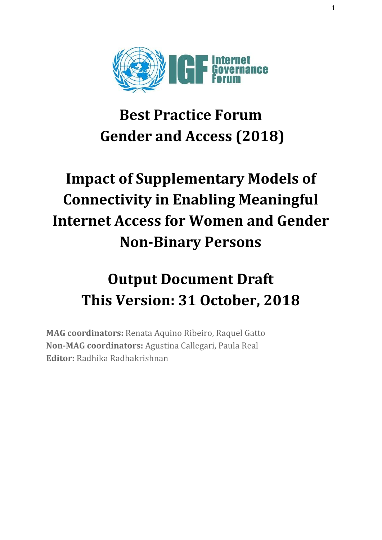

## **Best Practice Forum Gender and Access (2018)**

# **Impact of Supplementary Models of Connectivity in Enabling Meaningful Internet Access for Women and Gender Non-Binary Persons**

# **Output Document Draft This Version: 31 October, 2018**

**MAG coordinators:** Renata Aquino Ribeiro, Raquel Gatto **Non-MAG coordinators:** Agustina Callegari, Paula Real **Editor:** Radhika Radhakrishnan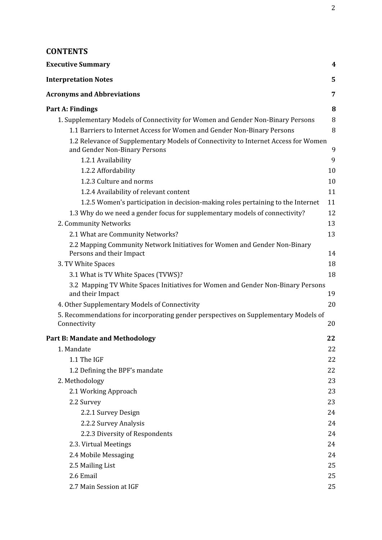## **CONTENTS**

| <b>Executive Summary</b>                                                                                            | 4  |
|---------------------------------------------------------------------------------------------------------------------|----|
| <b>Interpretation Notes</b>                                                                                         | 5  |
| <b>Acronyms and Abbreviations</b>                                                                                   | 7  |
| Part A: Findings                                                                                                    | 8  |
| 1. Supplementary Models of Connectivity for Women and Gender Non-Binary Persons                                     | 8  |
| 1.1 Barriers to Internet Access for Women and Gender Non-Binary Persons                                             | 8  |
| 1.2 Relevance of Supplementary Models of Connectivity to Internet Access for Women<br>and Gender Non-Binary Persons | 9  |
| 1.2.1 Availability                                                                                                  | 9  |
| 1.2.2 Affordability                                                                                                 | 10 |
| 1.2.3 Culture and norms                                                                                             | 10 |
| 1.2.4 Availability of relevant content                                                                              | 11 |
| 1.2.5 Women's participation in decision-making roles pertaining to the Internet                                     | 11 |
| 1.3 Why do we need a gender focus for supplementary models of connectivity?                                         | 12 |
| 2. Community Networks                                                                                               | 13 |
| 2.1 What are Community Networks?                                                                                    | 13 |
| 2.2 Mapping Community Network Initiatives for Women and Gender Non-Binary<br>Persons and their Impact               | 14 |
| 3. TV White Spaces                                                                                                  | 18 |
| 3.1 What is TV White Spaces (TVWS)?                                                                                 | 18 |
| 3.2 Mapping TV White Spaces Initiatives for Women and Gender Non-Binary Persons                                     |    |
| and their Impact                                                                                                    | 19 |
| 4. Other Supplementary Models of Connectivity                                                                       | 20 |
| 5. Recommendations for incorporating gender perspectives on Supplementary Models of<br>Connectivity                 | 20 |
| <b>Part B: Mandate and Methodology</b>                                                                              | 22 |
| 1. Mandate                                                                                                          | 22 |
| 1.1 The IGF                                                                                                         | 22 |
| 1.2 Defining the BPF's mandate                                                                                      | 22 |
| 2. Methodology                                                                                                      | 23 |
| 2.1 Working Approach                                                                                                | 23 |
| 2.2 Survey                                                                                                          | 23 |
| 2.2.1 Survey Design                                                                                                 | 24 |
| 2.2.2 Survey Analysis                                                                                               | 24 |
| 2.2.3 Diversity of Respondents                                                                                      | 24 |
| 2.3. Virtual Meetings                                                                                               | 24 |
| 2.4 Mobile Messaging                                                                                                | 24 |
| 2.5 Mailing List                                                                                                    | 25 |
| 2.6 Email                                                                                                           | 25 |
| 2.7 Main Session at IGF                                                                                             | 25 |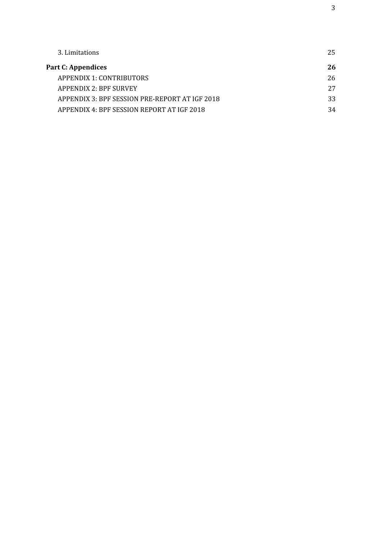| 3. Limitations                                 | 25 |
|------------------------------------------------|----|
| Part C: Appendices                             | 26 |
| APPENDIX 1: CONTRIBUTORS                       | 26 |
| <b>APPENDIX 2: BPF SURVEY</b>                  | 27 |
| APPENDIX 3: BPF SESSION PRE-REPORT AT IGF 2018 | 33 |
| APPENDIX 4: BPF SESSION REPORT AT IGF 2018     | 34 |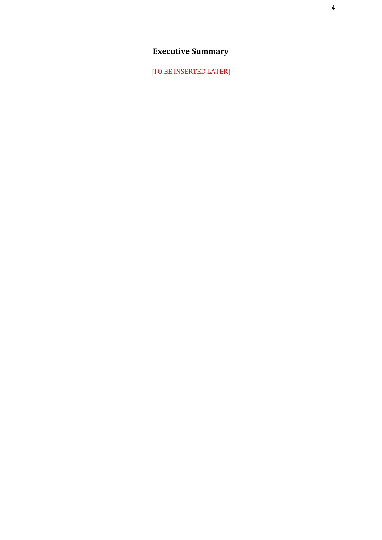## **Executive Summary**

<span id="page-3-0"></span>[TO BE INSERTED LATER]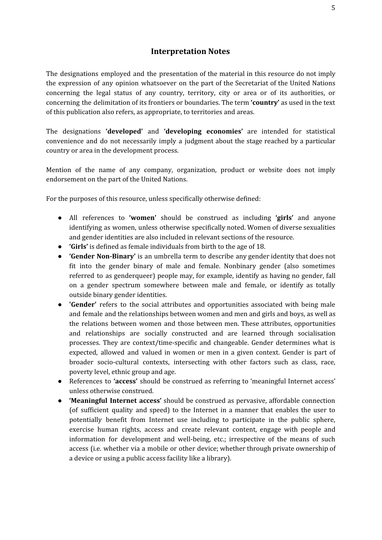#### **Interpretation Notes**

<span id="page-4-0"></span>The designations employed and the presentation of the material in this resource do not imply the expression of any opinion whatsoever on the part of the Secretariat of the United Nations concerning the legal status of any country, territory, city or area or of its authorities, or concerning the delimitation of its frontiers or boundaries. The term **'country'** as used in the text of this publication also refers, as appropriate, to territories and areas.

The designations **'developed'** and **'developing economies'** are intended for statistical convenience and do not necessarily imply a judgment about the stage reached by a particular country or area in the development process.

Mention of the name of any company, organization, product or website does not imply endorsement on the part of the United Nations.

For the purposes of this resource, unless specifically otherwise defined:

- All references to **'women'** should be construed as including **'girls'** and anyone identifying as women, unless otherwise specifically noted. Women of diverse sexualities and gender identities are also included in relevant sections of the resource.
- **'Girls'** is defined as female individuals from birth to the age of 18.
- **● 'Gender Non-Binary'** is an umbrella term to describe any gender identity that does not fit into the gender binary of male and female. Nonbinary gender (also sometimes referred to as genderqueer) people may, for example, identify as having no gender, fall on a gender spectrum somewhere between male and female, or identify as totally outside binary gender identities.
- **'Gender'** refers to the social attributes and opportunities associated with being male and female and the relationships between women and men and girls and boys, as well as the relations between women and those between men. These attributes, opportunities and relationships are socially constructed and are learned through socialisation processes. They are context/time-specific and changeable. Gender determines what is expected, allowed and valued in women or men in a given context. Gender is part of broader socio-cultural contexts, intersecting with other factors such as class, race, poverty level, ethnic group and age.
- References to 'access' should be construed as referring to 'meaningful Internet access' unless otherwise construed.
- **'Meaningful Internet access'** should be construed as pervasive, affordable connection (of sufficient quality and speed) to the Internet in a manner that enables the user to potentially benefit from Internet use including to participate in the public sphere, exercise human rights, access and create relevant content, engage with people and information for development and well-being, etc.; irrespective of the means of such access (i.e. whether via a mobile or other device; whether through private ownership of a device or using a public access facility like a library).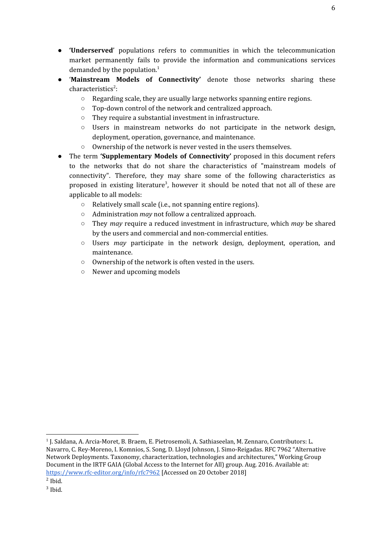- **'Underserved**' populations refers to communities in which the telecommunication market permanently fails to provide the information and communications services demanded by the population. 1
- '**Mainstream Models of Connectivity'** denote those networks sharing these characteristics<sup>2</sup>:
	- $\circ$  Regarding scale, they are usually large networks spanning entire regions.
	- Top-down control of the network and centralized approach.
	- They require a substantial investment in infrastructure.
	- $\circ$  Users in mainstream networks do not participate in the network design, deployment, operation, governance, and maintenance.
	- Ownership of the network is never vested in the users themselves.
- The term **'Supplementary Models of Connectivity'** proposed in this document refers to the networks that do not share the characteristics of "mainstream models of connectivity". Therefore, they may share some of the following characteristics as proposed in existing literature<sup>3</sup>, however it should be noted that not all of these are applicable to all models:
	- Relatively small scale (i.e., not spanning entire regions).
	- Administration *may* not follow a centralized approach.
	- They *may* require a reduced investment in infrastructure, which *may* be shared by the users and commercial and non-commercial entities.
	- Users *may* participate in the network design, deployment, operation, and maintenance.
	- Ownership of the network is often vested in the users.
	- Newer and upcoming models

<sup>1</sup> J. Saldana, A. Arcia-Moret, B. Braem, E. Pietrosemoli, A. Sathiaseelan, M. Zennaro, Contributors: L. Navarro, C. Rey-Moreno, I. Komnios, S. Song, D. Lloyd Johnson, J. Simo-Reigadas. RFC 7962 "Alternative Network Deployments. Taxonomy, characterization, technologies and architectures," Working Group Document in the IRTF GAIA (Global Access to the Internet for All) group. Aug. 2016. Available at: <https://www.rfc-editor.org/info/rfc7962> [Accessed on 20 October 2018]

 $<sup>2</sup>$  Ibid.</sup>

<sup>3</sup> Ibid.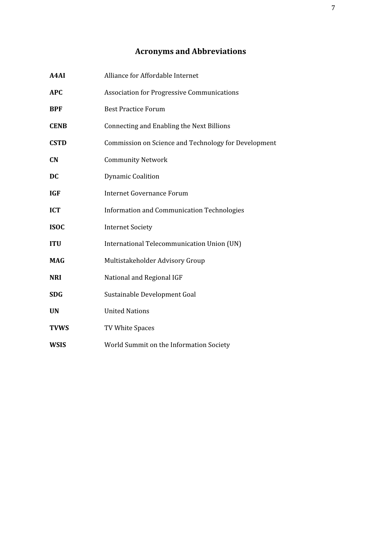## **Acronyms and Abbreviations**

<span id="page-6-0"></span>

| A4AI        | Alliance for Affordable Internet                     |
|-------------|------------------------------------------------------|
| <b>APC</b>  | <b>Association for Progressive Communications</b>    |
| <b>BPF</b>  | <b>Best Practice Forum</b>                           |
| <b>CENB</b> | Connecting and Enabling the Next Billions            |
| <b>CSTD</b> | Commission on Science and Technology for Development |
| CN          | <b>Community Network</b>                             |
| <b>DC</b>   | <b>Dynamic Coalition</b>                             |
| <b>IGF</b>  | <b>Internet Governance Forum</b>                     |
| <b>ICT</b>  | <b>Information and Communication Technologies</b>    |
| <b>ISOC</b> | <b>Internet Society</b>                              |
| <b>ITU</b>  | International Telecommunication Union (UN)           |
| <b>MAG</b>  | Multistakeholder Advisory Group                      |
| <b>NRI</b>  | National and Regional IGF                            |
| <b>SDG</b>  | Sustainable Development Goal                         |
| <b>UN</b>   | <b>United Nations</b>                                |
| <b>TVWS</b> | TV White Spaces                                      |
| <b>WSIS</b> | World Summit on the Information Society              |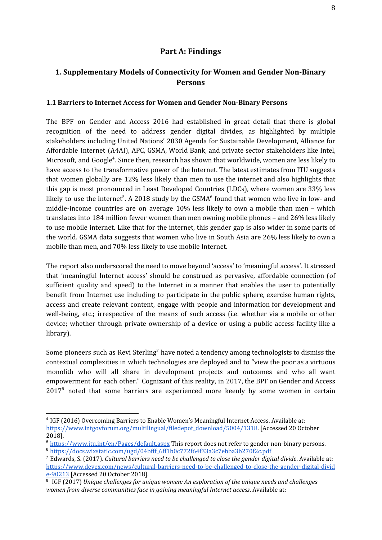## **Part A: Findings**

## <span id="page-7-1"></span><span id="page-7-0"></span>**1. Supplementary Models of Connectivity for Women and Gender Non-Binary Persons**

#### <span id="page-7-2"></span>**1.1 Barriers to Internet Access for Women and Gender Non-Binary Persons**

The BPF on Gender and Access 2016 had established in great detail that there is global recognition of the need to address gender digital divides, as highlighted by multiple stakeholders including United Nations' 2030 Agenda for Sustainable Development, Alliance for Affordable Internet (A4AI), APC, GSMA, World Bank, and private sector stakeholders like Intel, Microsoft, and Google<sup>4</sup>. Since then, research has shown that worldwide, women are less likely to have access to the transformative power of the Internet. The latest estimates from ITU suggests that women globally are 12% less likely than men to use the internet and also highlights that this gap is most pronounced in Least Developed Countries (LDCs), where women are 33% less likely to use the internet<sup>5</sup>. A 2018 study by the GSMA<sup>6</sup> found that women who live in low- and middle-income countries are on average 10% less likely to own a mobile than men – which translates into 184 million fewer women than men owning mobile phones – and 26% less likely to use mobile internet. Like that for the internet, this gender gap is also wider in some parts of the world. GSMA data suggests that women who live in South Asia are 26% less likely to own a mobile than men, and 70% less likely to use mobile Internet.

The report also underscored the need to move beyond 'access' to 'meaningful access'. It stressed that 'meaningful Internet access' should be construed as pervasive, affordable connection (of sufficient quality and speed) to the Internet in a manner that enables the user to potentially benefit from Internet use including to participate in the public sphere, exercise human rights, access and create relevant content, engage with people and information for development and well-being, etc.; irrespective of the means of such access (i.e. whether via a mobile or other device; whether through private ownership of a device or using a public access facility like a library).

Some pioneers such as Revi Sterling<sup>7</sup> have noted a tendency among technologists to dismiss the contextual complexities in which technologies are deployed and to "view the poor as a virtuous monolith who will all share in development projects and outcomes and who all want empowerment for each other." Cognizant of this reality, in 2017, the BPF on Gender and Access  $2017<sup>8</sup>$  noted that some barriers are experienced more keenly by some women in certain

<sup>4</sup> IGF (2016) Overcoming Barriers to Enable Women's Meaningful Internet Access. Available at: [https://www.intgovforum.org/multilingual/filedepot\\_download/5004/1318](https://www.intgovforum.org/multilingual/filedepot_download/5004/1318). [Accessed 20 October 2018].

<sup>5</sup> <https://www.itu.int/en/Pages/default.aspx> This report does not refer to gender non-binary persons. <sup>6</sup> [https://docs.wixstatic.com/ugd/04bfff\\_6ff1b0c772f64f33a3c7ebba3b270f2c.pdf](https://docs.wixstatic.com/ugd/04bfff_6ff1b0c772f64f33a3c7ebba3b270f2c.pdf)

<sup>7</sup> Edwards, S. (2017). *Cultural barriers need to be challenged to close the gender digital divide*. Available at: [https://www.devex.com/news/cultural-barriers-need-to-be-challenged-to-close-the-gender-digital-divid](https://www.devex.com/news/cultural-barriers-need-to-be-challenged-to-close-the-gender-digital-divide-90213) [e-90213](https://www.devex.com/news/cultural-barriers-need-to-be-challenged-to-close-the-gender-digital-divide-90213) [Accessed 20 October 2018].

<sup>8</sup> IGF (2017) *Unique challenges for unique women: An exploration of the unique needs and challenges women from diverse communities face in gaining meaningful Internet access*. Available at: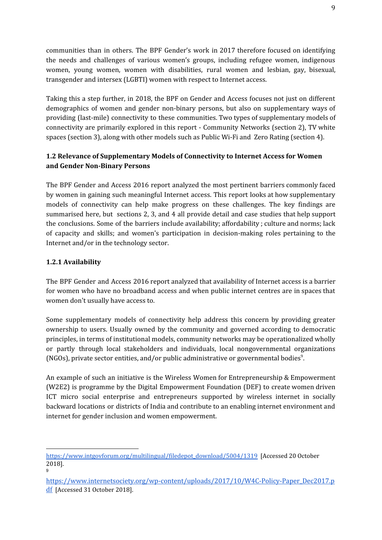communities than in others. The BPF Gender's work in 2017 therefore focused on identifying the needs and challenges of various women's groups, including refugee women, indigenous women, young women, women with disabilities, rural women and lesbian, gay, bisexual, transgender and intersex (LGBTI) women with respect to Internet access.

Taking this a step further, in 2018, the BPF on Gender and Access focuses not just on different demographics of women and gender non-binary persons, but also on supplementary ways of providing (last-mile) connectivity to these communities. Two types of supplementary models of connectivity are primarily explored in this report - Community Networks (section 2), TV white spaces (section 3), along with other models such as Public Wi-Fi and Zero Rating (section 4).

## <span id="page-8-0"></span>**1.2 Relevance of Supplementary Models of Connectivity to Internet Access for Women and Gender Non-Binary Persons**

The BPF Gender and Access 2016 report analyzed the most pertinent barriers commonly faced by women in gaining such meaningful Internet access. This report looks at how supplementary models of connectivity can help make progress on these challenges. The key findings are summarised here, but sections 2, 3, and 4 all provide detail and case studies that help support the conclusions. Some of the barriers include availability; affordability ; culture and norms; lack of capacity and skills; and women's participation in decision-making roles pertaining to the Internet and/or in the technology sector.

## <span id="page-8-1"></span>**1.2.1 Availability**

The BPF Gender and Access 2016 report analyzed that availability of Internet access is a barrier for women who have no broadband access and when public internet centres are in spaces that women don't usually have access to.

Some supplementary models of connectivity help address this concern by providing greater ownership to users. Usually owned by the community and governed according to democratic principles, in terms of institutional models, community networks may be operationalized wholly or partly through local stakeholders and individuals, local nongovernmental organizations (NGOs), private sector entities, and/or public administrative or governmental bodies<sup>9</sup>.

An example of such an initiative is the Wireless Women for Entrepreneurship & Empowerment (W2E2) is programme by the Digital Empowerment Foundation (DEF) to create women driven ICT micro social enterprise and entrepreneurs supported by wireless internet in socially backward locations or districts of India and contribute to an enabling internet environment and internet for gender inclusion and women empowerment.

[https://www.intgovforum.org/multilingual/filedepot\\_download/5004/1319](https://www.intgovforum.org/multilingual/filedepot_download/5004/1319) [Accessed 20 October 2018]. 9

[https://www.internetsociety.org/wp-content/uploads/2017/10/W4C-Policy-Paper\\_Dec2017.p](https://www.internetsociety.org/wp-content/uploads/2017/10/W4C-Policy-Paper_Dec2017.pdf) [df](https://www.internetsociety.org/wp-content/uploads/2017/10/W4C-Policy-Paper_Dec2017.pdf) [Accessed 31 October 2018].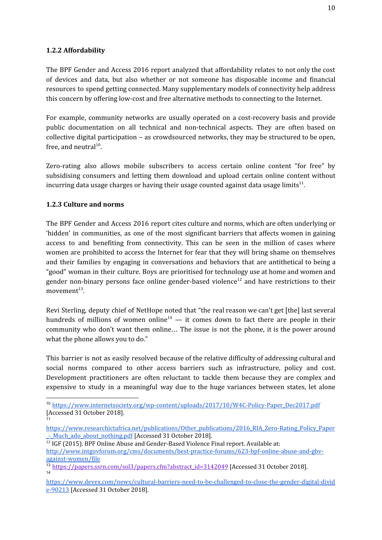#### <span id="page-9-0"></span>**1.2.2 Affordability**

The BPF Gender and Access 2016 report analyzed that affordability relates to not only the cost of devices and data, but also whether or not someone has disposable income and financial resources to spend getting connected. Many supplementary models of connectivity help address this concern by offering low-cost and free alternative methods to connecting to the Internet.

For example, community networks are usually operated on a cost-recovery basis and provide public documentation on all technical and non-technical aspects. They are often based on collective digital participation – as crowdsourced networks, they may be structured to be open, free, and neutral $^{10}$ .

Zero-rating also allows mobile subscribers to access certain online content "for free" by subsidising consumers and letting them download and upload certain online content without incurring data usage charges or having their usage counted against data usage limits $^{\rm 11}.$ 

## <span id="page-9-1"></span>**1.2.3 Culture and norms**

The BPF Gender and Access 2016 report cites culture and norms, which are often underlying or 'hidden' in communities, as one of the most significant barriers that affects women in gaining access to and benefiting from connectivity. This can be seen in the million of cases where women are prohibited to access the Internet for fear that they will bring shame on themselves and their families by engaging in conversations and behaviors that are antithetical to being a "good" woman in their culture. Boys are prioritised for technology use at home and women and gender non-binary persons face online gender-based violence<sup>12</sup> and have restrictions to their movement $^{\rm 13}$ .

Revi Sterling, deputy chief of NetHope noted that "the real reason we can't get [the] last several hundreds of millions of women online<sup>14</sup>  $-$  it comes down to fact there are people in their community who don't want them online… The issue is not the phone, it is the power around what the phone allows you to do."

This barrier is not as easily resolved because of the relative difficulty of addressing cultural and social norms compared to other access barriers such as infrastructure, policy and cost. Development practitioners are often reluctant to tackle them because they are complex and expensive to study in a meaningful way due to the huge variances between states, let alone

<sup>&</sup>lt;sup>10</sup> [https://www.internetsociety.org/wp-content/uploads/2017/10/W4C-Policy-Paper\\_Dec2017.pdf](https://www.internetsociety.org/wp-content/uploads/2017/10/W4C-Policy-Paper_Dec2017.pdf) [Accessed 31 October 2018]. 11

[https://www.researchictafrica.net/publications/Other\\_publications/2016\\_RIA\\_Zero-Rating\\_Policy\\_Paper](https://www.researchictafrica.net/publications/Other_publications/2016_RIA_Zero-Rating_Policy_Paper_-_Much_ado_about_nothing.pdf) - Much ado about nothing.pdf [Accessed 31 October 2018].

<sup>&</sup>lt;sup>12</sup> IGF (2015). BPF Online Abuse and Gender-Based Violence Final report. Available at: [http://www.intgovforum.org/cms/documents/best-practice-forums/623-bpf-online-abuse-and-gbv](http://www.intgovforum.org/cms/documents/best-practice-forums/623-bpf-online-abuse-and-gbv-)[against-women/file](http://www.intgovforum.org/cms/documents/best-practice-forums/623-bpf-online-abuse-and-gbv-)

<sup>&</sup>lt;sup>13</sup> [https://papers.ssrn.com/sol3/papers.cfm?abstract\\_id=3142049](https://papers.ssrn.com/sol3/papers.cfm?abstract_id=3142049) [Accessed 31 October 2018]. 14

[https://www.devex.com/news/cultural-barriers-need-to-be-challenged-to-close-the-gender-digital-divid](https://www.devex.com/news/cultural-barriers-need-to-be-challenged-to-close-the-gender-digital-divide-90213) [e-90213](https://www.devex.com/news/cultural-barriers-need-to-be-challenged-to-close-the-gender-digital-divide-90213) [Accessed 31 October 2018].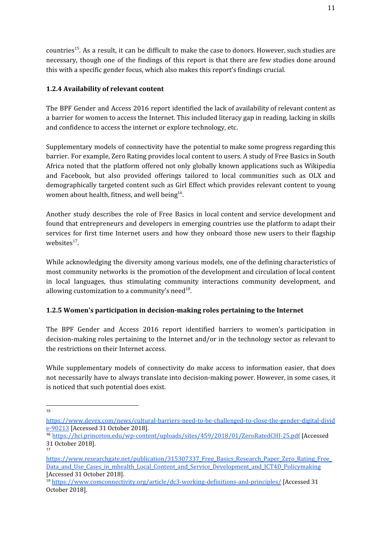countries<sup>15</sup>. As a result, it can be difficult to make the case to donors. However, such studies are necessary, though one of the findings of this report is that there are few studies done around this with a specific gender focus, which also makes this report's findings crucial.

## <span id="page-10-0"></span>**1.2.4 Availability of relevant content**

The BPF Gender and Access 2016 report identified the lack of availability of relevant content as a barrier for women to access the Internet. This included literacy gap in reading, lacking in skills and confidence to access the internet or explore technology, etc.

Supplementary models of connectivity have the potential to make some progress regarding this barrier. For example, Zero Rating provides local content to users. A study of Free Basics in South Africa noted that the platform offered not only globally known applications such as Wikipedia and Facebook, but also provided offerings tailored to local communities such as OLX and demographically targeted content such as Girl Effect which provides relevant content to young women about health, fitness, and well being<sup>16</sup>.

Another study describes the role of Free Basics in local content and service development and found that entrepreneurs and developers in emerging countries use the platform to adapt their services for first time Internet users and how they onboard those new users to their flagship websites $^{17}$ .

While acknowledging the diversity among various models, one of the defining characteristics of most community networks is the promotion of the development and circulation of local content in local languages, thus stimulating community interactions community development, and allowing customization to a community's need $^{18}$ .

## <span id="page-10-1"></span>**1.2.5 Women's participation in decision-making roles pertaining to the Internet**

The BPF Gender and Access 2016 report identified barriers to women's participation in decision-making roles pertaining to the Internet and/or in the technology sector as relevant to the restrictions on their Internet access.

While supplementary models of connectivity do make access to information easier, that does not necessarily have to always translate into decision-making power. However, in some cases, it is noticed that such potential does exist.

<sup>15</sup>

[https://www.devex.com/news/cultural-barriers-need-to-be-challenged-to-close-the-gender-digital-divid](https://www.devex.com/news/cultural-barriers-need-to-be-challenged-to-close-the-gender-digital-divide-90213) [e-90213](https://www.devex.com/news/cultural-barriers-need-to-be-challenged-to-close-the-gender-digital-divide-90213) [Accessed 31 October 2018].

<sup>16</sup> <https://hci.princeton.edu/wp-content/uploads/sites/459/2018/01/ZeroRatedCHI-25.pdf> [Accessed 31 October 2018]. 17

https://www.researchgate.net/publication/315307337 Free Basics Research Paper Zero Rating Free Data and Use Cases in mhealth Local Content and Service Development and ICT4D Policymaking [Accessed 31 October 2018].

<sup>&</sup>lt;sup>18</sup> <https://www.comconnectivity.org/article/dc3-working-definitions-and-principles/> [Accessed 31 October 2018].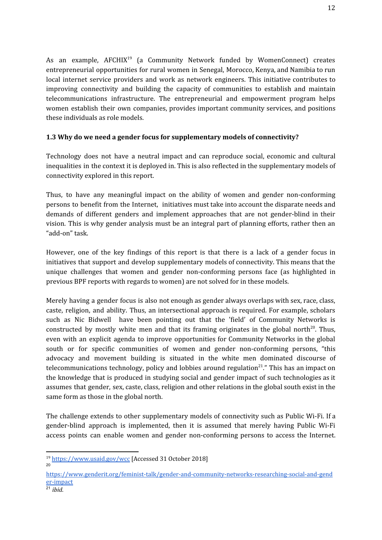As an example, AFCHIX<sup>19</sup> (a Community Network funded by WomenConnect) creates entrepreneurial opportunities for rural women in Senegal, Morocco, Kenya, and Namibia to run local internet service providers and work as network engineers. This initiative contributes to improving connectivity and building the capacity of communities to establish and maintain telecommunications infrastructure. The entrepreneurial and empowerment program helps women establish their own companies, provides important community services, and positions these individuals as role models.

## <span id="page-11-0"></span>**1.3 Why do we need a gender focus for supplementary models of connectivity?**

Technology does not have a neutral impact and can reproduce social, economic and cultural inequalities in the context it is deployed in. This is also reflected in the supplementary models of connectivity explored in this report.

Thus, to have any meaningful impact on the ability of women and gender non-conforming persons to benefit from the Internet, initiatives must take into account the disparate needs and demands of different genders and implement approaches that are not gender-blind in their vision. This is why gender analysis must be an integral part of planning efforts, rather then an "add-on" task.

However, one of the key findings of this report is that there is a lack of a gender focus in initiatives that support and develop supplementary models of connectivity. This means that the unique challenges that women and gender non-conforming persons face (as highlighted in previous BPF reports with regards to women) are not solved for in these models.

Merely having a gender focus is also not enough as gender always overlaps with sex, race, class, caste, religion, and ability. Thus, an intersectional approach is required. For example, scholars such as Nic Bidwell have been pointing out that the 'field' of Community Networks is constructed by mostly white men and that its framing originates in the global north<sup>20</sup>. Thus, even with an explicit agenda to improve opportunities for Community Networks in the global south or for specific communities of women and gender non-conforming persons, "this advocacy and movement building is situated in the white men dominated discourse of telecommunications technology, policy and lobbies around regulation<sup>21</sup>." This has an impact on the knowledge that is produced in studying social and gender impact of such technologies as it assumes that gender, sex, caste, class, religion and other relations in the global south exist in the same form as those in the global north.

The challenge extends to other supplementary models of connectivity such as Public Wi-Fi. If a gender-blind approach is implemented, then it is assumed that merely having Public Wi-Fi access points can enable women and gender non-conforming persons to access the Internet.

20

<sup>19</sup> <https://www.usaid.gov/wcc> [Accessed 31 October 2018]

[https://www.genderit.org/feminist-talk/gender-and-community-networks-researching-social-and-gend](https://www.genderit.org/feminist-talk/gender-and-community-networks-researching-social-and-gender-impact) [er-impact](https://www.genderit.org/feminist-talk/gender-and-community-networks-researching-social-and-gender-impact)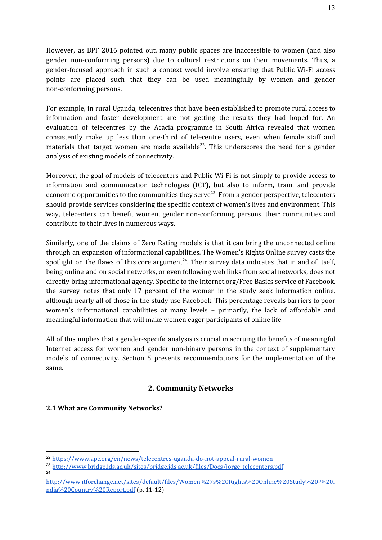However, as BPF 2016 pointed out, many public spaces are inaccessible to women (and also gender non-conforming persons) due to cultural restrictions on their movements. Thus, a gender-focused approach in such a context would involve ensuring that Public Wi-Fi access points are placed such that they can be used meaningfully by women and gender non-conforming persons.

For example, in rural Uganda, telecentres that have been established to promote rural access to information and foster development are not getting the results they had hoped for. An evaluation of telecentres by the Acacia programme in South Africa revealed that women consistently make up less than one-third of telecentre users, even when female staff and materials that target women are made available<sup>22</sup>. This underscores the need for a gender analysis of existing models of connectivity.

Moreover, the goal of models of telecenters and Public Wi-Fi is not simply to provide access to information and communication technologies (ICT), but also to inform, train, and provide economic opportunities to the communities they serve<sup>23</sup>. From a gender perspective, telecenters should provide services considering the specific context of women's lives and environment. This way, telecenters can benefit women, gender non-conforming persons, their communities and contribute to their lives in numerous ways.

Similarly, one of the claims of Zero Rating models is that it can bring the unconnected online through an expansion of informational capabilities. The Women's Rights Online survey casts the spotlight on the flaws of this core argument<sup>24</sup>. Their survey data indicates that in and of itself, being online and on social networks, or even following web links from social networks, does not directly bring informational agency. Specific to the Internet.org/Free Basics service of Facebook, the survey notes that only 17 percent of the women in the study seek information online, although nearly all of those in the study use Facebook. This percentage reveals barriers to poor women's informational capabilities at many levels – primarily, the lack of affordable and meaningful information that will make women eager participants of online life.

All of this implies that a gender-specific analysis is crucial in accruing the benefits of meaningful Internet access for women and gender non-binary persons in the context of supplementary models of connectivity. Section 5 presents recommendations for the implementation of the same.

## **2. Community Networks**

#### <span id="page-12-1"></span><span id="page-12-0"></span>**2.1 What are Community Networks?**

<sup>22</sup> <https://www.apc.org/en/news/telecentres-uganda-do-not-appeal-rural-women>

<sup>&</sup>lt;sup>23</sup> [http://www.bridge.ids.ac.uk/sites/bridge.ids.ac.uk/files/Docs/jorge\\_telecenters.pdf](http://www.bridge.ids.ac.uk/sites/bridge.ids.ac.uk/files/Docs/jorge_telecenters.pdf)

 $24$ 

[http://www.itforchange.net/sites/default/files/Women%27s%20Rights%20Online%20Study%20-%20I](http://www.itforchange.net/sites/default/files/Women%27s%20Rights%20Online%20Study%20-%20India%20Country%20Report.pdf) [ndia%20Country%20Report.pdf](http://www.itforchange.net/sites/default/files/Women%27s%20Rights%20Online%20Study%20-%20India%20Country%20Report.pdf) (p. 11-12)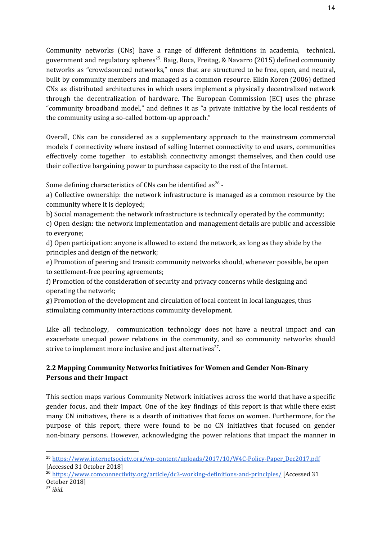Community networks (CNs) have a range of different definitions in academia, technical, government and regulatory spheres $^{25}$ . Baig, Roca, Freitag, & Navarro (2015) defined community networks as "crowdsourced networks," ones that are structured to be free, open, and neutral, built by community members and managed as a common resource. Elkin Koren (2006) defined CNs as distributed architectures in which users implement a physically decentralized network through the decentralization of hardware. The European Commission (EC) uses the phrase "community broadband model," and defines it as "a private initiative by the local residents of the community using a so-called bottom-up approach."

Overall, CNs can be considered as a supplementary approach to the mainstream commercial models f connectivity where instead of selling Internet connectivity to end users, communities effectively come together to establish connectivity amongst themselves, and then could use their collective bargaining power to purchase capacity to the rest of the Internet.

Some defining characteristics of CNs can be identified as<sup>26</sup> -

a) Collective ownership: the network infrastructure is managed as a common resource by the community where it is deployed;

b) Social management: the network infrastructure is technically operated by the community;

c) Open design: the network implementation and management details are public and accessible to everyone;

d) Open participation: anyone is allowed to extend the network, as long as they abide by the principles and design of the network;

e) Promotion of peering and transit: community networks should, whenever possible, be open to settlement-free peering agreements;

f) Promotion of the consideration of security and privacy concerns while designing and operating the network;

g) Promotion of the development and circulation of local content in local languages, thus stimulating community interactions community development.

Like all technology, communication technology does not have a neutral impact and can exacerbate unequal power relations in the community, and so community networks should strive to implement more inclusive and just alternatives<sup>27</sup>.

## <span id="page-13-0"></span>**2.2 Mapping Community Networks Initiatives for Women and Gender Non-Binary Persons and their Impact**

This section maps various Community Network initiatives across the world that have a specific gender focus, and their impact. One of the key findings of this report is that while there exist many CN initiatives, there is a dearth of initiatives that focus on women. Furthermore, for the purpose of this report, there were found to be no CN initiatives that focused on gender non-binary persons. However, acknowledging the power relations that impact the manner in

<sup>&</sup>lt;sup>25</sup> [https://www.internetsociety.org/wp-content/uploads/2017/10/W4C-Policy-Paper\\_Dec2017.pdf](https://www.internetsociety.org/wp-content/uploads/2017/10/W4C-Policy-Paper_Dec2017.pdf) [Accessed 31 October 2018]

<sup>&</sup>lt;sup>26</sup> <https://www.comconnectivity.org/article/dc3-working-definitions-and-principles/> [Accessed 31 October 2018]

<sup>27</sup> *ibid.*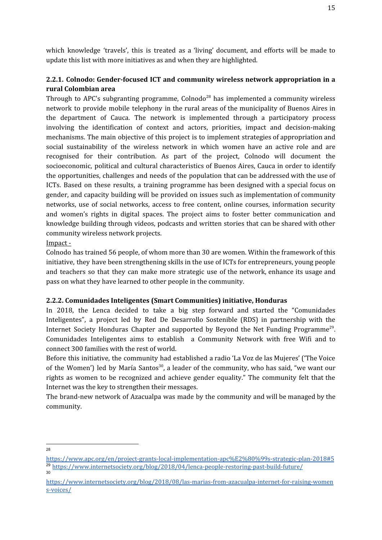which knowledge 'travels', this is treated as a 'living' document, and efforts will be made to update this list with more initiatives as and when they are highlighted.

## **2.2.1. Colnodo: Gender-focused ICT and community wireless network appropriation in a rural Colombian area**

Through to APC's subgranting programme, Colnodo<sup>28</sup> has implemented a community wireless network to provide mobile telephony in the rural areas of the municipality of Buenos Aires in the department of Cauca. The network is implemented through a participatory process involving the identification of context and actors, priorities, impact and decision-making mechanisms. The main objective of this project is to implement strategies of appropriation and social sustainability of the wireless network in which women have an active role and are recognised for their contribution. As part of the project, Colnodo will document the socioeconomic, political and cultural characteristics of Buenos Aires, Cauca in order to identify the opportunities, challenges and needs of the population that can be addressed with the use of ICTs. Based on these results, a training programme has been designed with a special focus on gender, and capacity building will be provided on issues such as implementation of community networks, use of social networks, access to free content, online courses, information security and women's rights in digital spaces. The project aims to foster better communication and knowledge building through videos, podcasts and written stories that can be shared with other community wireless network projects.

#### Impact -

Colnodo has trained 56 people, of whom more than 30 are women. Within the framework of this initiative, they have been strengthening skills in the use of ICTs for entrepreneurs, young people and teachers so that they can make more strategic use of the network, enhance its usage and pass on what they have learned to other people in the community.

#### **2.2.2. Comunidades Inteligentes (Smart Communities) initiative, Honduras**

In 2018, the Lenca decided to take a big step forward and started the "Comunidades Inteligentes", a project led by Red De Desarrollo Sostenible (RDS) in partnership with the Internet Society Honduras Chapter and supported by Beyond the Net Funding Programme<sup>29</sup>. Comunidades Inteligentes aims to establish a Community Network with free Wifi and to connect 300 families with the rest of world.

Before this initiative, the community had established a radio 'La Voz de las Mujeres' ('The Voice of the Women') led by María Santos<sup>30</sup>, a leader of the community, who has said, "we want our rights as women to be recognized and achieve gender equality." The community felt that the Internet was the key to strengthen their messages.

The brand-new network of Azacualpa was made by the community and will be managed by the community.

<sup>28</sup>

<https://www.apc.org/en/project-grants-local-implementation-apc%E2%80%99s-strategic-plan-2018#5> <sup>29</sup> <https://www.internetsociety.org/blog/2018/04/lenca-people-restoring-past-build-future/> 30

[https://www.internetsociety.org/blog/2018/08/las-marias-from-azacualpa-internet-for-raising-women](https://www.internetsociety.org/blog/2018/08/las-marias-from-azacualpa-internet-for-raising-womens-voices/) [s-voices/](https://www.internetsociety.org/blog/2018/08/las-marias-from-azacualpa-internet-for-raising-womens-voices/)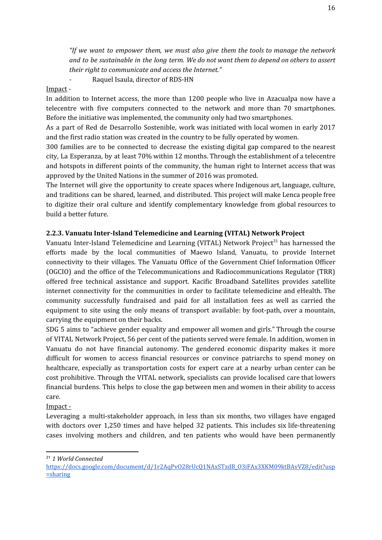*"If we want to empower them, we must also give them the tools to manage the network and to be sustainable in the long term. We do not want them to depend on others to assert their right to communicate and access the Internet."*

*-* Raquel Isaula, director of RDS-HN

#### Impact -

In addition to Internet access, the more than 1200 people who live in Azacualpa now have a telecentre with five computers connected to the network and more than 70 smartphones. Before the initiative was implemented, the community only had two smartphones.

As a part of Red de Desarrollo Sostenible, work was initiated with local women in early 2017 and the first radio station was created in the country to be fully operated by women.

300 families are to be connected to decrease the existing digital gap compared to the nearest city, La Esperanza, by at least 70% within 12 months. Through the establishment of a telecentre and hotspots in different points of the community, the human right to Internet access that was approved by the United Nations in the summer of 2016 was promoted.

The Internet will give the opportunity to create spaces where Indigenous art, language, culture, and traditions can be shared, learned, and distributed. This project will make Lenca people free to digitize their oral culture and identify complementary knowledge from global resources to build a better future.

#### **2.2.3. Vanuatu Inter-Island Telemedicine and Learning (VITAL) Network Project**

Vanuatu Inter-Island Telemedicine and Learning (VITAL) Network Project<sup>31</sup> has harnessed the efforts made by the local communities of Maewo Island, Vanuatu, to provide Internet connectivity to their villages. The Vanuatu Office of the Government Chief Information Officer (OGCIO) and the office of the Telecommunications and Radiocommunications Regulator (TRR) offered free technical assistance and support. Kacific Broadband Satellites provides satellite internet connectivity for the communities in order to facilitate telemedicine and eHealth. The community successfully fundraised and paid for all installation fees as well as carried the equipment to site using the only means of transport available: by foot-path, over a mountain, carrying the equipment on their backs.

SDG 5 aims to "achieve gender equality and empower all women and girls." Through the course of VITAL Network Project, 56 per cent of the patients served were female. In addition, women in Vanuatu do not have financial autonomy. The gendered economic disparity makes it more difficult for women to access financial resources or convince patriarchs to spend money on healthcare, especially as transportation costs for expert care at a nearby urban center can be cost prohibitive. Through the VITAL network, specialists can provide localised care that lowers financial burdens. This helps to close the gap between men and women in their ability to access care.

#### Impact -

Leveraging a multi-stakeholder approach, in less than six months, two villages have engaged with doctors over 1,250 times and have helped 32 patients. This includes six life-threatening cases involving mothers and children, and ten patients who would have been permanently

<sup>31</sup> *1 World Connected*

[https://docs.google.com/document/d/1r2AqPvO28rUcQ1NAxSTzdB\\_O3iFAx3XKM09ktBAvVZ8/edit?usp](https://docs.google.com/document/d/1r2AqPvO28rUcQ1NAxSTzdB_O3iFAx3XKM09ktBAvVZ8/edit?usp=sharing)  $=$ sharing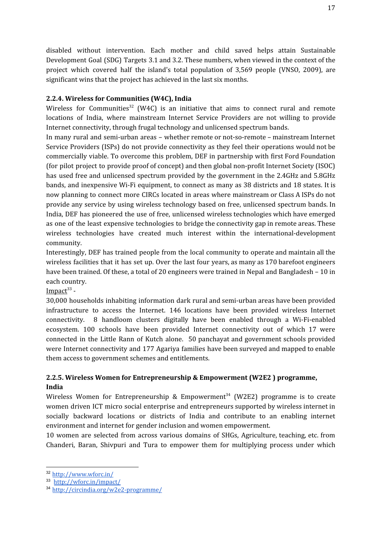disabled without intervention. Each mother and child saved helps attain Sustainable Development Goal (SDG) Targets 3.1 and 3.2. These numbers, when viewed in the context of the project which covered half the island's total population of 3,569 people (VNSO, 2009), are significant wins that the project has achieved in the last six months.

#### **2.2.4. Wireless for Communities (W4C), India**

Wireless for Communities<sup>32</sup> (W4C) is an initiative that aims to connect rural and remote locations of India, where mainstream Internet Service Providers are not willing to provide Internet connectivity, through frugal technology and unlicensed spectrum bands.

In many rural and semi-urban areas – whether remote or not-so-remote – mainstream Internet Service Providers (ISPs) do not provide connectivity as they feel their operations would not be commercially viable. To overcome this problem, DEF in partnership with first Ford Foundation (for pilot project to provide proof of concept) and then global non-profit Internet Society (ISOC) has used free and unlicensed spectrum provided by the government in the 2.4GHz and 5.8GHz bands, and inexpensive Wi-Fi equipment, to connect as many as 38 districts and 18 states. It is now planning to connect more CIRCs located in areas where mainstream or Class A ISPs do not provide any service by using wireless technology based on free, unlicensed spectrum bands. In India, DEF has pioneered the use of free, unlicensed wireless technologies which have emerged as one of the least expensive technologies to bridge the connectivity gap in remote areas. These wireless technologies have created much interest within the international-development community.

Interestingly, DEF has trained people from the local community to operate and maintain all the wireless facilities that it has set up. Over the last four years, as many as 170 barefoot engineers have been trained. Of these, a total of 20 engineers were trained in Nepal and Bangladesh – 10 in each country.

#### Impact<sup>33</sup> -

30,000 households inhabiting information dark rural and semi-urban areas have been provided infrastructure to access the Internet. 146 locations have been provided wireless Internet connectivity. 8 handloom clusters digitally have been enabled through a Wi-Fi-enabled ecosystem. 100 schools have been provided Internet connectivity out of which 17 were connected in the Little Rann of Kutch alone. 50 panchayat and government schools provided were Internet connectivity and 177 Agariya families have been surveyed and mapped to enable them access to government schemes and entitlements.

## **2.2.5. Wireless Women for Entrepreneurship & Empowerment (W2E2 ) programme, India**

Wireless Women for Entrepreneurship & Empowerment<sup>34</sup> (W2E2) programme is to create women driven ICT micro social enterprise and entrepreneurs supported by wireless internet in socially backward locations or districts of India and contribute to an enabling internet environment and internet for gender inclusion and women empowerment.

10 women are selected from across various domains of SHGs, Agriculture, teaching, etc. from Chanderi, Baran, Shivpuri and Tura to empower them for multiplying process under which

<sup>32</sup> <http://www.wforc.in/>

<sup>33</sup> <http://wforc.in/impact/>

<sup>34</sup> <http://circindia.org/w2e2-programme/>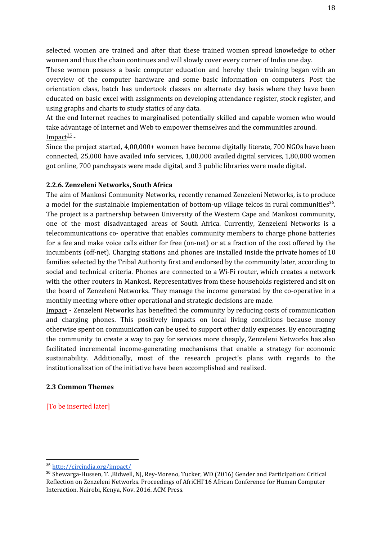selected women are trained and after that these trained women spread knowledge to other women and thus the chain continues and will slowly cover every corner of India one day.

These women possess a basic computer education and hereby their training began with an overview of the computer hardware and some basic information on computers. Post the orientation class, batch has undertook classes on alternate day basis where they have been educated on basic excel with assignments on developing attendance register, stock register, and using graphs and charts to study statics of any data.

At the end Internet reaches to marginalised potentially skilled and capable women who would take advantage of Internet and Web to empower themselves and the communities around. Impact<sup>35</sup> -

Since the project started, 4,00,000+ women have become digitally literate, 700 NGOs have been connected, 25,000 have availed info services, 1,00,000 availed digital services, 1,80,000 women got online, 700 panchayats were made digital, and 3 public libraries were made digital.

#### **2.2.6. Zenzeleni Networks, South Africa**

The aim of Mankosi Community Networks, recently renamed Zenzeleni Networks, is to produce a model for the sustainable implementation of bottom-up village telcos in rural communities<sup>36</sup>. The project is a partnership between University of the Western Cape and Mankosi community, one of the most disadvantaged areas of South Africa. Currently, Zenzeleni Networks is a telecommunications co- operative that enables community members to charge phone batteries for a fee and make voice calls either for free (on-net) or at a fraction of the cost offered by the incumbents (off-net). Charging stations and phones are installed inside the private homes of 10 families selected by the Tribal Authority first and endorsed by the community later, according to social and technical criteria. Phones are connected to a Wi-Fi router, which creates a network with the other routers in Mankosi. Representatives from these households registered and sit on the board of Zenzeleni Networks. They manage the income generated by the co-operative in a monthly meeting where other operational and strategic decisions are made.

Impact - Zenzeleni Networks has benefited the community by reducing costs of communication and charging phones. This positively impacts on local living conditions because money otherwise spent on communication can be used to support other daily expenses. By encouraging the community to create a way to pay for services more cheaply, Zenzeleni Networks has also facilitated incremental income-generating mechanisms that enable a strategy for economic sustainability. Additionally, most of the research project's plans with regards to the institutionalization of the initiative have been accomplished and realized.

#### **2.3 Common Themes**

[To be inserted later]

<sup>35</sup> <http://circindia.org/impact/>

<sup>36</sup> Shewarga-Hussen, T. ,Bidwell, NJ, Rey-Moreno, Tucker, WD (2016) Gender and Participation: Critical Reflection on Zenzeleni Networks. Proceedings of AfriCHI'16 African Conference for Human Computer Interaction. Nairobi, Kenya, Nov. 2016. ACM Press.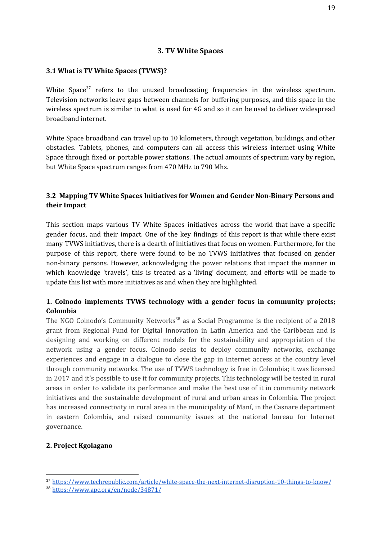#### **3. TV White Spaces**

#### <span id="page-18-1"></span><span id="page-18-0"></span>**3.1 What is TV White Spaces (TVWS)?**

White Space<sup>37</sup> refers to the unused broadcasting frequencies in the wireless spectrum. Television networks leave gaps between channels for buffering purposes, and this space in the wireless spectrum is similar to what is used for 4G and so it can be used to deliver widespread broadband internet.

White Space broadband can travel up to 10 kilometers, through vegetation, buildings, and other obstacles. Tablets, phones, and computers can all access this wireless internet using White Space through fixed or portable power stations. The actual amounts of spectrum vary by region, but White Space spectrum ranges from 470 MHz to 790 Mhz.

## <span id="page-18-2"></span>**3.2 Mapping TV White Spaces Initiatives for Women and Gender Non-Binary Persons and their Impact**

This section maps various TV White Spaces initiatives across the world that have a specific gender focus, and their impact. One of the key findings of this report is that while there exist many TVWS initiatives, there is a dearth of initiatives that focus on women. Furthermore, for the purpose of this report, there were found to be no TVWS initiatives that focused on gender non-binary persons. However, acknowledging the power relations that impact the manner in which knowledge 'travels', this is treated as a 'living' document, and efforts will be made to update this list with more initiatives as and when they are highlighted.

## **1. Colnodo implements TVWS technology with a gender focus in community projects; Colombia**

The NGO Colnodo's Community Networks<sup>38</sup> as a Social Programme is the recipient of a 2018 grant from Regional Fund for Digital Innovation in Latin America and the Caribbean and is designing and working on different models for the sustainability and appropriation of the network using a gender focus. Colnodo seeks to deploy community networks, exchange experiences and engage in a dialogue to close the gap in Internet access at the country level through community networks. The use of TVWS technology is free in Colombia; it was licensed in 2017 and it's possible to use it for community projects. This technology will be tested in rural areas in order to validate its performance and make the best use of it in community network initiatives and the sustainable development of rural and urban areas in Colombia. The project has increased connectivity in rural area in the municipality of Maní, in the Casnare department in eastern Colombia, and raised community issues at the national bureau for Internet governance.

#### **2. Project Kgolagano**

<sup>37</sup> <https://www.techrepublic.com/article/white-space-the-next-internet-disruption-10-things-to-know/>

<sup>38</sup> <https://www.apc.org/en/node/34871/>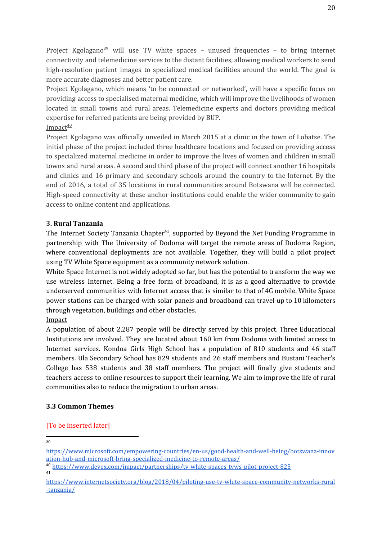Project Kgolagano<sup>39</sup> will use TV white spaces - unused frequencies - to bring internet connectivity and telemedicine services to the distant facilities, allowing medical workers to send high-resolution patient images to specialized medical facilities around the world. The goal is more accurate diagnoses and better patient care.

Project Kgolagano, which means 'to be connected or networked', will have a specific focus on providing access to specialised maternal medicine, which will improve the livelihoods of women located in small towns and rural areas. Telemedicine experts and doctors providing medical expertise for referred patients are being provided by BUP.

Impact<sup>40</sup>

Project Kgolagano was officially unveiled in March 2015 at a clinic in the town of Lobatse. The initial phase of the project included three healthcare locations and focused on providing access to specialized maternal medicine in order to improve the lives of women and children in small towns and rural areas. A second and third phase of the project will connect another 16 hospitals and clinics and 16 primary and secondary schools around the country to the Internet. By the end of 2016, a total of 35 locations in rural communities around Botswana will be connected. High-speed connectivity at these anchor institutions could enable the wider community to gain access to online content and applications.

#### **3. Rural Tanzania**

The Internet Society Tanzania Chapter<sup>41</sup>, supported by Beyond the Net Funding Programme in partnership with The University of Dodoma will target the remote areas of Dodoma Region, where conventional deployments are not available. Together, they will build a pilot project using TV White Space equipment as a community network solution.

White Space Internet is not widely adopted so far, but has the potential to transform the way we use wireless Internet. Being a free form of broadband, it is as a good alternative to provide underserved communities with Internet access that is similar to that of 4G mobile. White Space power stations can be charged with solar panels and broadband can travel up to 10 kilometers through vegetation, buildings and other obstacles.

#### Impact

A population of about 2,287 people will be directly served by this project. Three Educational Institutions are involved. They are located about 160 km from Dodoma with limited access to Internet services. Kondoa Girls High School has a population of 810 students and 46 staff members. Ula Secondary School has 829 students and 26 staff members and Bustani Teacher's College has 538 students and 38 staff members. The project will finally give students and teachers access to online resources to support their learning. We aim to improve the life of rural communities also to reduce the migration to urban areas.

#### **3.3 Common Themes**

## [To be inserted later]

39

41

[https://www.microsoft.com/empowering-countries/en-us/good-health-and-well-being/botswana-innov](https://www.microsoft.com/empowering-countries/en-us/good-health-and-well-being/botswana-innovation-hub-and-microsoft-bring-specialized-medicine-to-remote-areas/) [ation-hub-and-microsoft-bring-specialized-medicine-to-remote-areas/](https://www.microsoft.com/empowering-countries/en-us/good-health-and-well-being/botswana-innovation-hub-and-microsoft-bring-specialized-medicine-to-remote-areas/)

<sup>40</sup> <https://www.devex.com/impact/partnerships/tv-white-spaces-tvws-pilot-project-825>

[https://www.internetsociety.org/blog/2018/04/piloting-use-tv-white-space-community-networks-rural](https://www.internetsociety.org/blog/2018/04/piloting-use-tv-white-space-community-networks-rural-tanzania/) [-tanzania/](https://www.internetsociety.org/blog/2018/04/piloting-use-tv-white-space-community-networks-rural-tanzania/)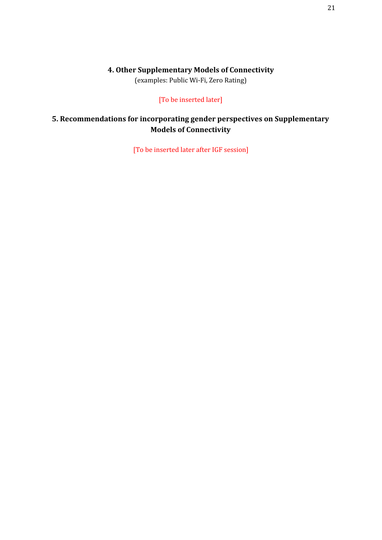## **4. Other Supplementary Models of Connectivity**

(examples: Public Wi-Fi, Zero Rating)

#### [To be inserted later]

## <span id="page-20-1"></span><span id="page-20-0"></span>**5. Recommendations for incorporating gender perspectives on Supplementary Models of Connectivity**

[To be inserted later after IGF session]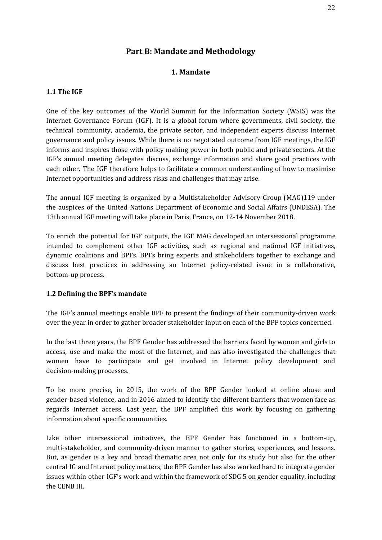## **Part B: Mandate and Methodology**

#### **1. Mandate**

#### <span id="page-21-2"></span><span id="page-21-1"></span><span id="page-21-0"></span>**1.1 The IGF**

One of the key outcomes of the World Summit for the Information Society (WSIS) was the Internet Governance Forum (IGF). It is a global forum where governments, civil society, the technical community, academia, the private sector, and independent experts discuss Internet governance and policy issues. While there is no negotiated outcome from IGF meetings, the IGF informs and inspires those with policy making power in both public and private sectors. At the IGF's annual meeting delegates discuss, exchange information and share good practices with each other. The IGF therefore helps to facilitate a common understanding of how to maximise Internet opportunities and address risks and challenges that may arise.

The annual IGF meeting is organized by a Multistakeholder Advisory Group (MAG)119 under the auspices of the United Nations Department of Economic and Social Affairs (UNDESA). The 13th annual IGF meeting will take place in Paris, France, on 12-14 November 2018.

To enrich the potential for IGF outputs, the IGF MAG developed an intersessional programme intended to complement other IGF activities, such as regional and national IGF initiatives, dynamic coalitions and BPFs. BPFs bring experts and stakeholders together to exchange and discuss best practices in addressing an Internet policy-related issue in a collaborative, bottom-up process.

#### <span id="page-21-3"></span>**1.2 Defining the BPF's mandate**

The IGF's annual meetings enable BPF to present the findings of their community-driven work over the year in order to gather broader stakeholder input on each of the BPF topics concerned.

In the last three years, the BPF Gender has addressed the barriers faced by women and girls to access, use and make the most of the Internet, and has also investigated the challenges that women have to participate and get involved in Internet policy development and decision-making processes.

To be more precise, in 2015, the work of the BPF Gender looked at online abuse and gender-based violence, and in 2016 aimed to identify the different barriers that women face as regards Internet access. Last year, the BPF amplified this work by focusing on gathering information about specific communities.

Like other intersessional initiatives, the BPF Gender has functioned in a bottom-up, multi-stakeholder, and community-driven manner to gather stories, experiences, and lessons. But, as gender is a key and broad thematic area not only for its study but also for the other central IG and Internet policy matters, the BPF Gender has also worked hard to integrate gender issues within other IGF's work and within the framework of SDG 5 on gender equality, including the CENB III.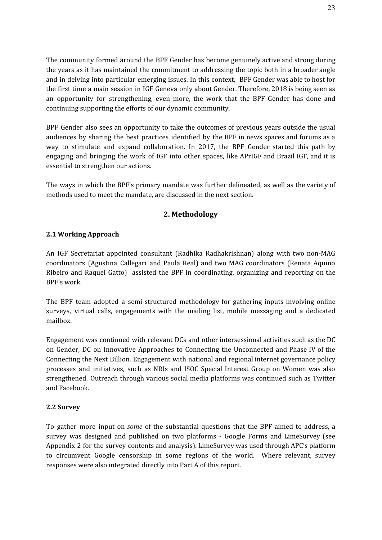The community formed around the BPF Gender has become genuinely active and strong during the years as it has maintained the commitment to addressing the topic both in a broader angle and in delving into particular emerging issues. In this context, BPF Gender was able to host for the first time a main session in IGF Geneva only about Gender. Therefore, 2018 is being seen as an opportunity for strengthening, even more, the work that the BPF Gender has done and continuing supporting the efforts of our dynamic community.

BPF Gender also sees an opportunity to take the outcomes of previous years outside the usual audiences by sharing the best practices identified by the BPF in news spaces and forums as a way to stimulate and expand collaboration. In 2017, the BPF Gender started this path by engaging and bringing the work of IGF into other spaces, like APrIGF and Brazil IGF, and it is essential to strengthen our actions.

The ways in which the BPF's primary mandate was further delineated, as well as the variety of methods used to meet the mandate, are discussed in the next section.

## **2. Methodology**

#### <span id="page-22-1"></span><span id="page-22-0"></span>**2.1 Working Approach**

An IGF Secretariat appointed consultant (Radhika Radhakrishnan) along with two non-MAG coordinators (Agustina Callegari and Paula Real) and two MAG coordinators (Renata Aquino Ribeiro and Raquel Gatto) assisted the BPF in coordinating, organizing and reporting on the BPF's work.

The BPF team adopted a semi-structured methodology for gathering inputs involving online surveys, virtual calls, engagements with the mailing list, mobile messaging and a dedicated mailbox.

Engagement was continued with relevant DCs and other intersessional activities such as the DC on Gender, DC on Innovative Approaches to Connecting the Unconnected and Phase IV of the Connecting the Next Billion. Engagement with national and regional internet governance policy processes and initiatives, such as NRIs and ISOC Special Interest Group on Women was also strengthened. Outreach through various social media platforms was continued such as Twitter and Facebook.

#### <span id="page-22-2"></span>**2.2 Survey**

To gather more input on *some* of the substantial questions that the BPF aimed to address, a survey was designed and published on two platforms - Google Forms and LimeSurvey (see Appendix 2 for the survey contents and analysis). LimeSurvey was used through APC's platform to circumvent Google censorship in some regions of the world. Where relevant, survey responses were also integrated directly into Part A of this report.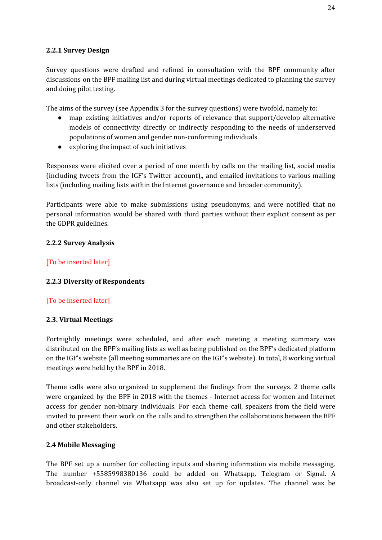#### <span id="page-23-0"></span>**2.2.1 Survey Design**

Survey questions were drafted and refined in consultation with the BPF community after discussions on the BPF mailing list and during virtual meetings dedicated to planning the survey and doing pilot testing.

The aims of the survey (see Appendix 3 for the survey questions) were twofold, namely to:

- map existing initiatives and/or reports of relevance that support/develop alternative models of connectivity directly or indirectly responding to the needs of underserved populations of women and gender non-conforming individuals
- exploring the impact of such initiatives

Responses were elicited over a period of one month by calls on the mailing list, social media (including tweets from the IGF's Twitter account),, and emailed invitations to various mailing lists (including mailing lists within the Internet governance and broader community).

Participants were able to make submissions using pseudonyms, and were notified that no personal information would be shared with third parties without their explicit consent as per the GDPR guidelines.

#### <span id="page-23-1"></span>**2.2.2 Survey Analysis**

#### [To be inserted later]

#### <span id="page-23-2"></span>**2.2.3 Diversity of Respondents**

## [To be inserted later]

#### <span id="page-23-3"></span>**2.3. Virtual Meetings**

Fortnightly meetings were scheduled, and after each meeting a meeting summary was distributed on the BPF's mailing lists as well as being published on the BPF's dedicated platform on the IGF's website (all meeting summaries are on the IGF's website). In total, 8 working virtual meetings were held by the BPF in 2018.

Theme calls were also organized to supplement the findings from the surveys. 2 theme calls were organized by the BPF in 2018 with the themes - Internet access for women and Internet access for gender non-binary individuals. For each theme call, speakers from the field were invited to present their work on the calls and to strengthen the collaborations between the BPF and other stakeholders.

#### <span id="page-23-4"></span>**2.4 Mobile Messaging**

The BPF set up a number for collecting inputs and sharing information via mobile messaging. The number +5585998380136 could be added on Whatsapp, Telegram or Signal. A broadcast-only channel via Whatsapp was also set up for updates. The channel was be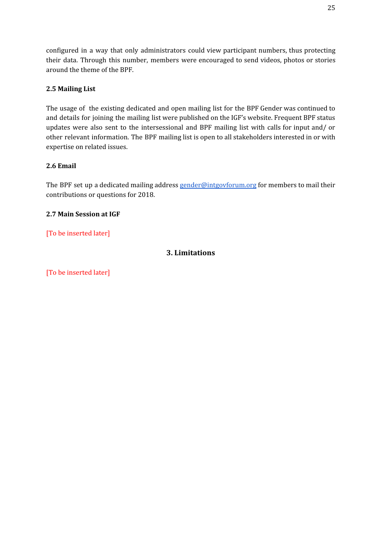configured in a way that only administrators could view participant numbers, thus protecting their data. Through this number, members were encouraged to send videos, photos or stories around the theme of the BPF.

## <span id="page-24-0"></span>**2.5 Mailing List**

The usage of the existing dedicated and open mailing list for the BPF Gender was continued to and details for joining the mailing list were published on the IGF's website. Frequent BPF status updates were also sent to the intersessional and BPF mailing list with calls for input and/ or other relevant information. The BPF mailing list is open to all stakeholders interested in or with expertise on related issues.

#### <span id="page-24-1"></span>**2.6 Email**

The BPF set up a dedicated mailing address [gender@intgovforum.org](mailto:gender@intgovforum.org) for members to mail their contributions or questions for 2018.

#### <span id="page-24-2"></span>**2.7 Main Session at IGF**

## <span id="page-24-3"></span>[To be inserted later]

## **3. Limitations**

[To be inserted later]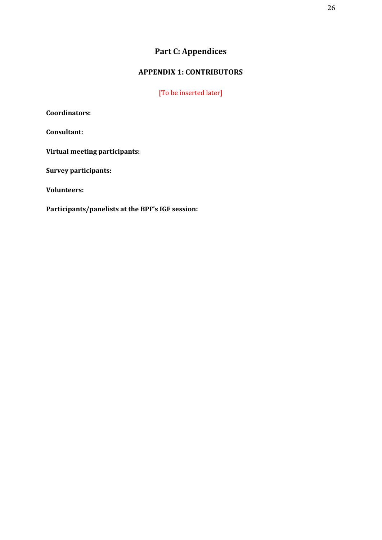## **Part C: Appendices**

## **APPENDIX 1: CONTRIBUTORS**

[To be inserted later]

<span id="page-25-1"></span><span id="page-25-0"></span>**Coordinators:**

**Consultant:**

**Virtual meeting participants:**

**Survey participants:**

**Volunteers:**

**Participants/panelists at the BPF's IGF session:**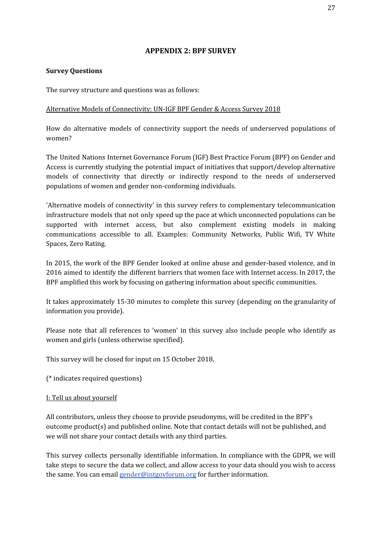## **APPENDIX 2: BPF SURVEY**

#### <span id="page-26-0"></span>**Survey Questions**

The survey structure and questions was as follows:

#### Alternative Models of Connectivity: UN-IGF BPF Gender & Access Survey 2018

How do alternative models of connectivity support the needs of underserved populations of women?

The United Nations Internet Governance Forum (IGF) Best Practice Forum (BPF) on Gender and Access is currently studying the potential impact of initiatives that support/develop alternative models of connectivity that directly or indirectly respond to the needs of underserved populations of women and gender non-conforming individuals.

'Alternative models of connectivity' in this survey refers to complementary telecommunication infrastructure models that not only speed up the pace at which unconnected populations can be supported with internet access, but also complement existing models in making communications accessible to all. Examples: Community Networks, Public Wifi, TV White Spaces, Zero Rating.

In 2015, the work of the BPF Gender looked at online abuse and gender-based violence, and in 2016 aimed to identify the different barriers that women face with Internet access. In 2017, the BPF amplified this work by focusing on gathering information about specific communities.

It takes approximately 15-30 minutes to complete this survey (depending on the granularity of information you provide).

Please note that all references to 'women' in this survey also include people who identify as women and girls (unless otherwise specified).

This survey will be closed for input on 15 October 2018.

(\* indicates required questions)

#### I: Tell us about yourself

All contributors, unless they choose to provide pseudonyms, will be credited in the BPF's outcome product(s) and published online. Note that contact details will not be published, and we will not share your contact details with any third parties.

This survey collects personally identifiable information. In compliance with the GDPR, we will take steps to secure the data we collect, and allow access to your data should you wish to access the same. You can email [gender@intgovforum.org](mailto:gender@intgovforum.org) for further information.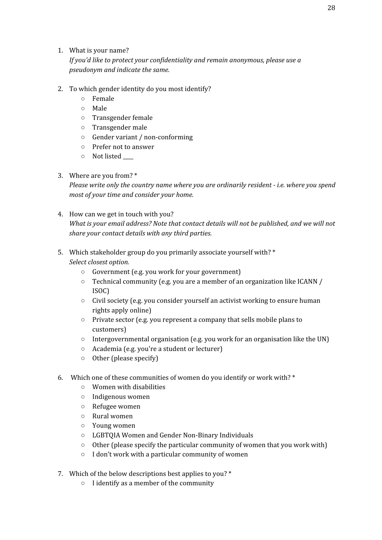#### 1. What is your name?

*If you'd like to protect your confidentiality and remain anonymous, please use a pseudonym and indicate the same.*

- 2. To which gender identity do you most identify?
	- Female
	- Male
	- Transgender female
	- Transgender male
	- Gender variant / non-conforming
	- Prefer not to answer
	- $\circ$  Not listed

## 3. Where are you from? \*

*Please write only the country name where you are ordinarily resident - i.e. where you spend most of your time and consider your home.*

- 4. How can we get in touch with you? *What is your email address? Note that contact details will not be published, and we will not share your contact details with any third parties.*
- 5. Which stakeholder group do you primarily associate yourself with? \* *Select closest option.*
	- Government (e.g. you work for your government)
	- Technical community (e.g. you are a member of an organization like ICANN / ISOC)
	- Civil society (e.g. you consider yourself an activist working to ensure human rights apply online)
	- Private sector (e.g. you represent a company that sells mobile plans to customers)
	- Intergovernmental organisation (e.g. you work for an organisation like the UN)
	- Academia (e.g. you're a student or lecturer)
	- Other (please specify)
- 6. Which one of these communities of women do you identify or work with? \*
	- Women with disabilities
	- Indigenous women
	- Refugee women
	- Rural women
	- Young women
	- LGBTQIA Women and Gender Non-Binary Individuals
	- Other (please specify the particular community of women that you work with)
	- I don't work with a particular community of women
- 7. Which of the below descriptions best applies to you? \*
	- I identify as a member of the community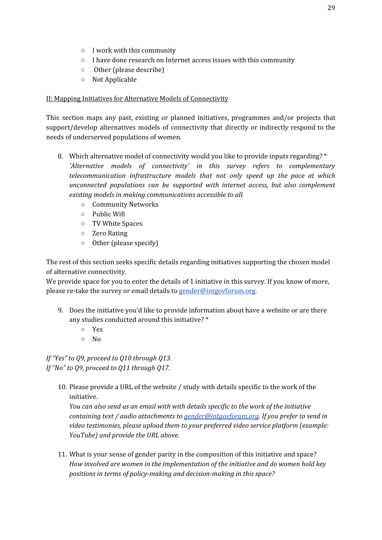- I work with this community
- I have done research on Internet access issues with this community
- Other (please describe)
- Not Applicable

#### II: Mapping Initiatives for Alternative Models of Connectivity

This section maps any past, existing or planned initiatives, programmes and/or projects that support/develop alternatives models of connectivity that directly or indirectly respond to the needs of underserved populations of women.

- 8. Which alternative model of connectivity would you like to provide inputs regarding? \* *'Alternative models of connectivity' in this survey refers to complementary telecommunication infrastructure models that not only speed up the pace at which unconnected populations can be supported with internet access, but also complement existing models in making communications accessible to all.*
	- Community Networks
	- Public Wifi
	- TV White Spaces
	- Zero Rating
	- Other (please specify)

The rest of this section seeks specific details regarding initiatives supporting the chosen model of alternative connectivity.

We provide space for you to enter the details of 1 initiative in this survey. If you know of more, please re-take the survey or email details to [gender@intgovforum.org.](mailto:gender@intgovforum.org)

- 9. Does the initiative you'd like to provide information about have a website or are there any studies conducted around this initiative? \*
	- Yes
	- No

*If "Yes" to Q9, proceed to Q10 through Q13. If "No" to Q9, proceed to Q11 through Q17.*

10. Please provide a URL of the website / study with details specific to the work of the initiative.

*You can also send us an email with with details specific to the work of the initiative containing text / audio attachments to [gender@intgovforum.org](mailto:gender@intgovforum.org). If you prefer to send in video testimonies, please upload them to your preferred video service platform (example: YouTube) and provide the URL above.*

11. What is your sense of gender parity in the composition of this initiative and space? *How involved are women in the implementation of the initiative and do women hold key positions in terms of policy-making and decision-making in this space?*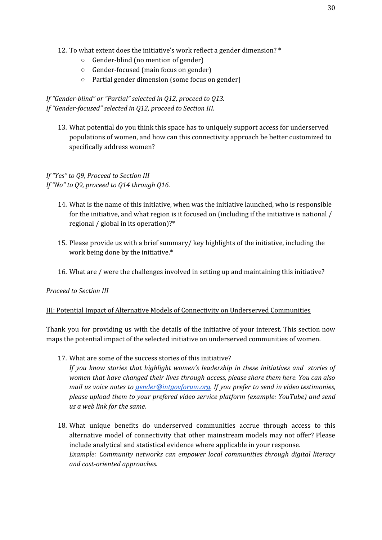- 12. To what extent does the initiative's work reflect a gender dimension? \*
	- Gender-blind (no mention of gender)
	- Gender-focused (main focus on gender)
	- Partial gender dimension (some focus on gender)

*If "Gender-blind" or "Partial" selected in Q12, proceed to Q13. If "Gender-focused" selected in Q12, proceed to Section III.*

13. What potential do you think this space has to uniquely support access for underserved populations of women, and how can this connectivity approach be better customized to specifically address women?

## *If "Yes" to Q9, Proceed to Section III If "No" to Q9, proceed to Q14 through Q16.*

- 14. What is the name of this initiative, when was the initiative launched, who is responsible for the initiative, and what region is it focused on (including if the initiative is national / regional / global in its operation)?\*
- 15. Please provide us with a brief summary/ key highlights of the initiative, including the work being done by the initiative.\*
- 16. What are / were the challenges involved in setting up and maintaining this initiative?

#### *Proceed to Section III*

#### III: Potential Impact of Alternative Models of Connectivity on Underserved Communities

Thank you for providing us with the details of the initiative of your interest. This section now maps the potential impact of the selected initiative on underserved communities of women.

17. What are some of the success stories of this initiative?

*If you know stories that highlight women's leadership in these initiatives and stories of women that have changed their lives through access, please share them here. You can also mail us voice notes to [gender@intgovforum.org.](mailto:gender@intgovforum.org) If you prefer to send in video testimonies, please upload them to your prefered video service platform (example: YouTube) and send us a web link for the same.*

18. What unique benefits do underserved communities accrue through access to this alternative model of connectivity that other mainstream models may not offer? Please include analytical and statistical evidence where applicable in your response. *Example: Community networks can empower local communities through digital literacy and cost-oriented approaches.*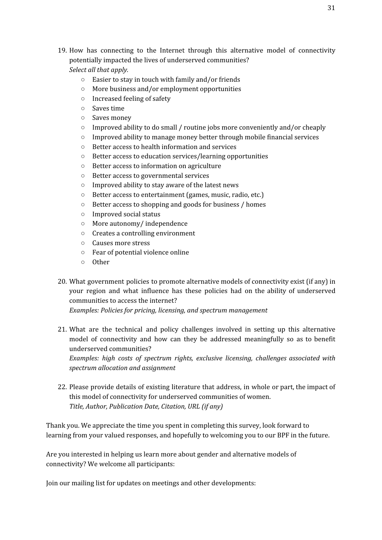19. How has connecting to the Internet through this alternative model of connectivity potentially impacted the lives of underserved communities?

*Select all that apply.*

- Easier to stay in touch with family and/or friends
- More business and/or employment opportunities
- Increased feeling of safety
- Saves time
- Saves money
- Improved ability to do small / routine jobs more conveniently and/or cheaply
- $\circ$  Improved ability to manage money better through mobile financial services
- Better access to health information and services
- Better access to education services/learning opportunities
- Better access to information on agriculture
- Better access to governmental services
- Improved ability to stay aware of the latest news
- Better access to entertainment (games, music, radio, etc.)
- Better access to shopping and goods for business / homes
- Improved social status
- More autonomy/ independence
- Creates a controlling environment
- Causes more stress
- Fear of potential violence online
- Other
- 20. What government policies to promote alternative models of connectivity exist (if any) in your region and what influence has these policies had on the ability of underserved communities to access the internet?

*Examples: Policies for pricing, licensing, and spectrum management*

21. What are the technical and policy challenges involved in setting up this alternative model of connectivity and how can they be addressed meaningfully so as to benefit underserved communities?

*Examples: high costs of spectrum rights, exclusive licensing, challenges associated with spectrum allocation and assignment*

22. Please provide details of existing literature that address, in whole or part, the impact of this model of connectivity for underserved communities of women. *Title, Author, Publication Date, Citation, URL (if any)*

Thank you. We appreciate the time you spent in completing this survey, look forward to learning from your valued responses, and hopefully to welcoming you to our BPF in the future.

Are you interested in helping us learn more about gender and alternative models of connectivity? We welcome all participants:

Join our mailing list for updates on meetings and other developments: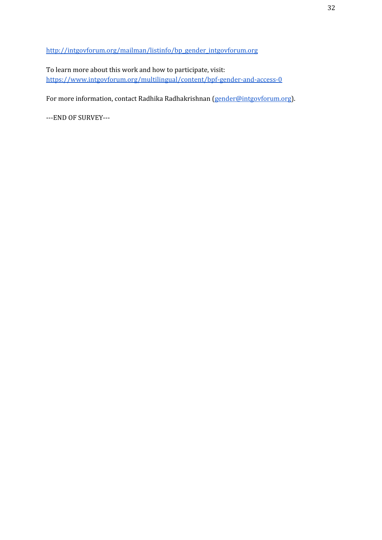[http://intgovforum.org/mailman/listinfo/bp\\_gender\\_intgovforum.org](http://intgovforum.org/mailman/listinfo/bp_gender_intgovforum.org)

To learn more about this work and how to participate, visit: <https://www.intgovforum.org/multilingual/content/bpf-gender-and-access-0>

For more information, contact Radhika Radhakrishnan [\(gender@intgovforum.org\)](mailto:gender@intgovforum.org).

---END OF SURVEY---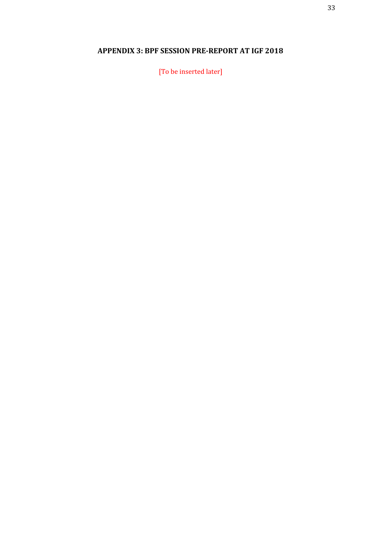## <span id="page-32-0"></span>**APPENDIX 3: BPF SESSION PRE-REPORT AT IGF 2018**

[To be inserted later]